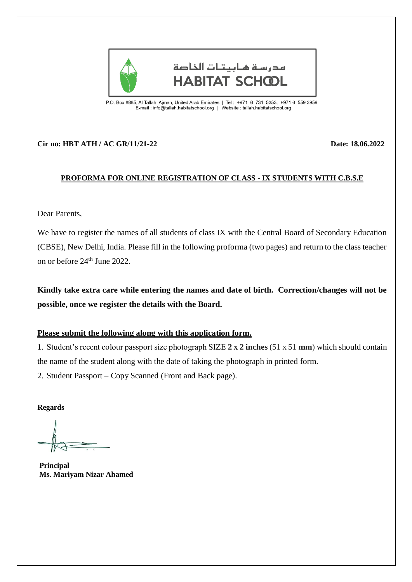

مدرسة هائتات الخاصة **HABITAT SCHCOL** 

P.O. Box 8885, Al Tallah, Ajman, United Arab Emirates | Tel : +971 6 731 5353, +971 6 559 3959<br>E-mail : info@tallah.habitatschool.org | Website : tallah.habitatschool.org

## **Cir no: HBT ATH / AC GR/11/21-22 Date: 18.06.2022**

## **PROFORMA FOR ONLINE REGISTRATION OF CLASS - IX STUDENTS WITH C.B.S.E**

Dear Parents,

We have to register the names of all students of class IX with the Central Board of Secondary Education (CBSE), New Delhi, India. Please fill in the following proforma (two pages) and return to the class teacher on or before 24th June 2022.

**Kindly take extra care while entering the names and date of birth. Correction/changes will not be possible, once we register the details with the Board.**

## **Please submit the following along with this application form.**

1. Student's recent colour passport size photograph SIZE **2 x 2 inches** (51 x 51 **mm**) which should contain the name of the student along with the date of taking the photograph in printed form.

2. Student Passport – Copy Scanned (Front and Back page).

**Regards**

**Principal Ms. Mariyam Nizar Ahamed**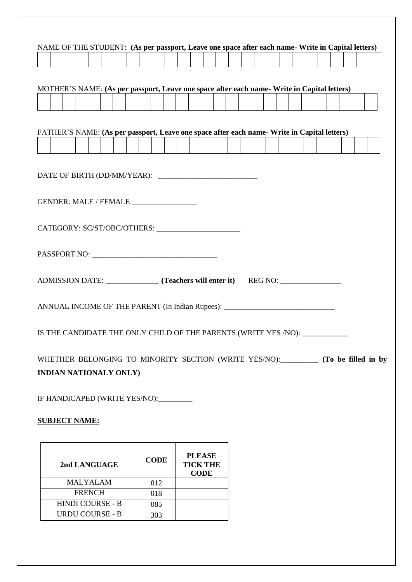|                               |  |                      | NAME OF THE STUDENT: (As per passport, Leave one space after each name- Write in Capital letters) |  |  |  |                                                                                             |  |  |  |  |  |  |                                                                                     |
|-------------------------------|--|----------------------|---------------------------------------------------------------------------------------------------|--|--|--|---------------------------------------------------------------------------------------------|--|--|--|--|--|--|-------------------------------------------------------------------------------------|
|                               |  |                      |                                                                                                   |  |  |  |                                                                                             |  |  |  |  |  |  |                                                                                     |
|                               |  |                      |                                                                                                   |  |  |  |                                                                                             |  |  |  |  |  |  |                                                                                     |
|                               |  |                      |                                                                                                   |  |  |  | MOTHER'S NAME: (As per passport, Leave one space after each name- Write in Capital letters) |  |  |  |  |  |  |                                                                                     |
|                               |  |                      |                                                                                                   |  |  |  |                                                                                             |  |  |  |  |  |  |                                                                                     |
|                               |  |                      |                                                                                                   |  |  |  |                                                                                             |  |  |  |  |  |  |                                                                                     |
|                               |  |                      |                                                                                                   |  |  |  | FATHER'S NAME: (As per passport, Leave one space after each name- Write in Capital letters) |  |  |  |  |  |  |                                                                                     |
|                               |  |                      |                                                                                                   |  |  |  |                                                                                             |  |  |  |  |  |  |                                                                                     |
|                               |  |                      |                                                                                                   |  |  |  |                                                                                             |  |  |  |  |  |  |                                                                                     |
|                               |  |                      |                                                                                                   |  |  |  |                                                                                             |  |  |  |  |  |  |                                                                                     |
|                               |  |                      |                                                                                                   |  |  |  |                                                                                             |  |  |  |  |  |  |                                                                                     |
|                               |  |                      |                                                                                                   |  |  |  |                                                                                             |  |  |  |  |  |  |                                                                                     |
|                               |  |                      |                                                                                                   |  |  |  |                                                                                             |  |  |  |  |  |  |                                                                                     |
|                               |  |                      |                                                                                                   |  |  |  |                                                                                             |  |  |  |  |  |  |                                                                                     |
|                               |  |                      |                                                                                                   |  |  |  |                                                                                             |  |  |  |  |  |  |                                                                                     |
|                               |  |                      |                                                                                                   |  |  |  |                                                                                             |  |  |  |  |  |  |                                                                                     |
|                               |  |                      |                                                                                                   |  |  |  |                                                                                             |  |  |  |  |  |  |                                                                                     |
|                               |  |                      |                                                                                                   |  |  |  | ADMISSION DATE: ________________ (Teachers will enter it) REG NO: _______________           |  |  |  |  |  |  |                                                                                     |
|                               |  |                      |                                                                                                   |  |  |  | ANNUAL INCOME OF THE PARENT (In Indian Rupees): _________________________________           |  |  |  |  |  |  |                                                                                     |
|                               |  |                      |                                                                                                   |  |  |  |                                                                                             |  |  |  |  |  |  |                                                                                     |
|                               |  |                      |                                                                                                   |  |  |  | IS THE CANDIDATE THE ONLY CHILD OF THE PARENTS (WRITE YES /NO): ________________            |  |  |  |  |  |  |                                                                                     |
|                               |  |                      |                                                                                                   |  |  |  |                                                                                             |  |  |  |  |  |  |                                                                                     |
|                               |  |                      |                                                                                                   |  |  |  |                                                                                             |  |  |  |  |  |  | WHETHER BELONGING TO MINORITY SECTION (WRITE YES/NO):__________ (To be filled in by |
|                               |  |                      | <b>INDIAN NATIONALY ONLY)</b>                                                                     |  |  |  |                                                                                             |  |  |  |  |  |  |                                                                                     |
|                               |  |                      |                                                                                                   |  |  |  |                                                                                             |  |  |  |  |  |  |                                                                                     |
|                               |  |                      |                                                                                                   |  |  |  |                                                                                             |  |  |  |  |  |  |                                                                                     |
|                               |  |                      |                                                                                                   |  |  |  |                                                                                             |  |  |  |  |  |  |                                                                                     |
| IF HANDICAPED (WRITE YES/NO): |  |                      |                                                                                                   |  |  |  |                                                                                             |  |  |  |  |  |  |                                                                                     |
|                               |  | <b>SUBJECT NAME:</b> |                                                                                                   |  |  |  |                                                                                             |  |  |  |  |  |  |                                                                                     |

| 2nd LANGUAGE            | <b>CODE</b> | <b>PLEASE</b><br><b>TICK THE</b><br><b>CODE</b> |
|-------------------------|-------------|-------------------------------------------------|
| <b>MALYALAM</b>         | 012         |                                                 |
| <b>FRENCH</b>           | 018         |                                                 |
| <b>HINDI COURSE - B</b> | 085         |                                                 |
| URDU COURSE - B         | 303         |                                                 |